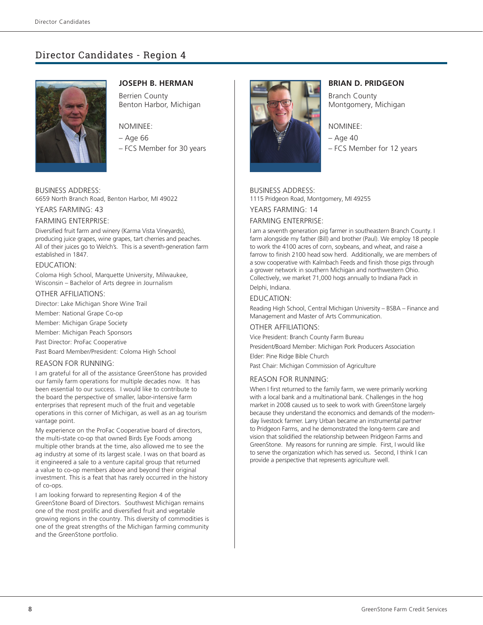# Director Candidates - Region 4



## **JOSEPH B. HERMAN**

Berrien County Benton Harbor, Michigan

## NOMINEE:

- Age 66
- FCS Member for 30 years

BUSINESS ADDRESS: 6659 North Branch Road, Benton Harbor, MI 49022

## YEARS FARMING: 43

#### FARMING ENTERPRISE:

Diversified fruit farm and winery (Karma Vista Vineyards), producing juice grapes, wine grapes, tart cherries and peaches. All of their juices go to Welch's. This is a seventh-generation farm established in 1847.

### EDUCATION:

Coloma High School, Marquette University, Milwaukee, Wisconsin – Bachelor of Arts degree in Journalism

#### OTHER AFFILIATIONS:

Director: Lake Michigan Shore Wine Trail

Member: National Grape Co-op

Member: Michigan Grape Society

Member: Michigan Peach Sponsors

Past Director: ProFac Cooperative

Past Board Member/President: Coloma High School

## REASON FOR RUNNING:

I am grateful for all of the assistance GreenStone has provided our family farm operations for multiple decades now. It has been essential to our success. I would like to contribute to the board the perspective of smaller, labor-intensive farm enterprises that represent much of the fruit and vegetable operations in this corner of Michigan, as well as an ag tourism vantage point.

My experience on the ProFac Cooperative board of directors, the multi-state co-op that owned Birds Eye Foods among multiple other brands at the time, also allowed me to see the ag industry at some of its largest scale. I was on that board as it engineered a sale to a venture capital group that returned a value to co-op members above and beyond their original investment. This is a feat that has rarely occurred in the history of co-ops.

I am looking forward to representing Region 4 of the GreenStone Board of Directors. Southwest Michigan remains one of the most prolific and diversified fruit and vegetable growing regions in the country. This diversity of commodities is one of the great strengths of the Michigan farming community and the GreenStone portfolio.



## **BRIAN D. PRIDGEON**

Branch County Montgomery, Michigan

#### NOMINEE:

– Age 40 – FCS Member for 12 years

#### BUSINESS ADDRESS:

1115 Pridgeon Road, Montgomery, MI 49255

YEARS FARMING: 14

## FARMING ENTERPRISE:

I am a seventh generation pig farmer in southeastern Branch County. I farm alongside my father (Bill) and brother (Paul). We employ 18 people to work the 4100 acres of corn, soybeans, and wheat, and raise a farrow to finish 2100 head sow herd. Additionally, we are members of a sow cooperative with Kalmbach Feeds and finish those pigs through a grower network in southern Michigan and northwestern Ohio. Collectively, we market 71,000 hogs annually to Indiana Pack in Delphi, Indiana.

## EDUCATION:

Reading High School, Central Michigan University – BSBA – Finance and Management and Master of Arts Communication.

#### OTHER AFFILIATIONS:

Vice President: Branch County Farm Bureau

President/Board Member: Michigan Pork Producers Association

Elder: Pine Ridge Bible Church

Past Chair: Michigan Commission of Agriculture

#### REASON FOR RUNNING:

When I first returned to the family farm, we were primarily working with a local bank and a multinational bank. Challenges in the hog market in 2008 caused us to seek to work with GreenStone largely because they understand the economics and demands of the modernday livestock farmer. Larry Urban became an instrumental partner to Pridgeon Farms, and he demonstrated the long-term care and vision that solidified the relationship between Pridgeon Farms and GreenStone. My reasons for running are simple. First, I would like to serve the organization which has served us. Second, I think I can provide a perspective that represents agriculture well.